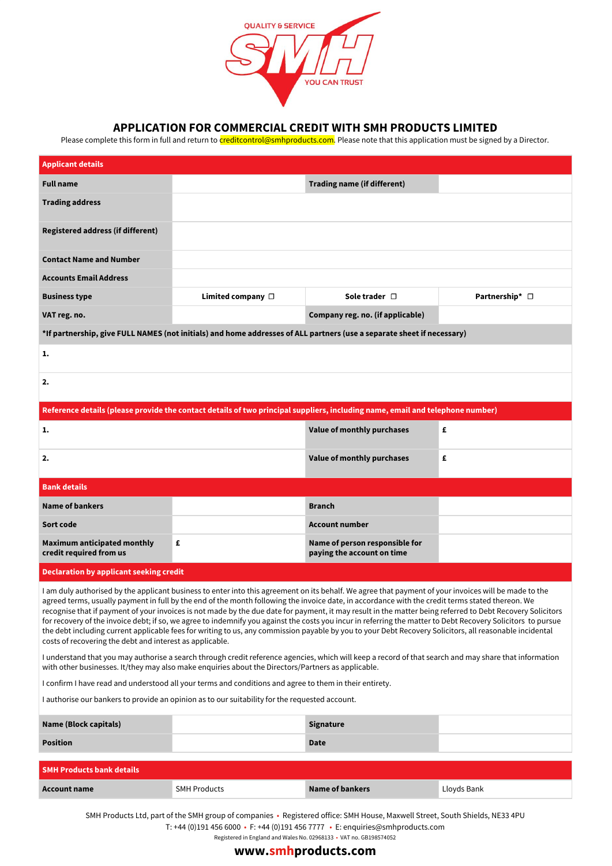

### **APPLICATION FOR COMMERCIAL CREDIT WITH SMH PRODUCTS LIMITED**

Please complete this form in full and return to creditcontrol@smhproducts.com. Please note that this application must be signed by a Director.

| <b>Applicant details</b>                                      |                                                                                                                                                       |                                                              |                |
|---------------------------------------------------------------|-------------------------------------------------------------------------------------------------------------------------------------------------------|--------------------------------------------------------------|----------------|
| <b>Full name</b>                                              |                                                                                                                                                       | <b>Trading name (if different)</b>                           |                |
| <b>Trading address</b>                                        |                                                                                                                                                       |                                                              |                |
| <b>Registered address (if different)</b>                      |                                                                                                                                                       |                                                              |                |
| <b>Contact Name and Number</b>                                |                                                                                                                                                       |                                                              |                |
| <b>Accounts Email Address</b>                                 |                                                                                                                                                       |                                                              |                |
| <b>Business type</b>                                          | Limited company $\Box$                                                                                                                                | Sole trader $\Box$                                           | Partnership* □ |
| VAT reg. no.                                                  |                                                                                                                                                       | Company reg. no. (if applicable)                             |                |
|                                                               | *If partnership, give FULL NAMES (not initials) and home addresses of ALL partners (use a separate sheet if necessary)                                |                                                              |                |
| 1.                                                            |                                                                                                                                                       |                                                              |                |
| 2.                                                            |                                                                                                                                                       |                                                              |                |
|                                                               | Reference details (please provide the contact details of two principal suppliers, including name, email and telephone number)                         |                                                              |                |
| 1.                                                            |                                                                                                                                                       | Value of monthly purchases                                   | £              |
| 2.                                                            |                                                                                                                                                       | Value of monthly purchases                                   | £              |
| <b>Bank details</b>                                           |                                                                                                                                                       |                                                              |                |
| <b>Name of bankers</b>                                        |                                                                                                                                                       | <b>Branch</b>                                                |                |
| Sort code                                                     |                                                                                                                                                       | <b>Account number</b>                                        |                |
| <b>Maximum anticipated monthly</b><br>credit required from us | £                                                                                                                                                     | Name of person responsible for<br>paying the account on time |                |
| <b>Declaration by applicant seeking credit</b>                |                                                                                                                                                       |                                                              |                |
|                                                               | I am duly authorised by the applicant business to enter into this agreement on its behalf. We agree that payment of your invoices will be made to the |                                                              |                |

agreed terms, usually payment in full by the end of the month following the invoice date, in accordance with the credit terms stated thereon. We recognise that if payment of your invoices is not made by the due date for payment, it may result in the matter being referred to Debt Recovery Solicitors for recovery of the invoice debt; if so, we agree to indemnify you against the costs you incur in referring the matter to Debt Recovery Solicitors to pursue the debt including current applicable fees for writing to us, any commission payable by you to your Debt Recovery Solicitors, all reasonable incidental costs of recovering the debt and interest as applicable.

I understand that you may authorise a search through credit reference agencies, which will keep a record of that search and may share that information with other businesses. It/they may also make enquiries about the Directors/Partners as applicable.

I confirm I have read and understood all your terms and conditions and agree to them in their entirety.

I authorise our bankers to provide an opinion as to our suitability for the requested account.

| Name (Block capitals) | Signature   |  |
|-----------------------|-------------|--|
| <b>Position</b>       | <b>Date</b> |  |

| <b>SMH Products bank details</b> |                     |                 |             |  |  |
|----------------------------------|---------------------|-----------------|-------------|--|--|
| Account name                     | <b>SMH Products</b> | Name of bankers | Lloyds Bank |  |  |

SMH Products Ltd, part of the SMH group of companies • Registered office: SMH House, Maxwell Street, South Shields, NE33 4PU T: +44 (0)191 456 6000 • F: +44 (0)191 456 7777 • E: enquiries@smhproducts.com

Registered in England and Wales No. 02968133 • VAT no. GB198574052

## **www.smhproducts.com**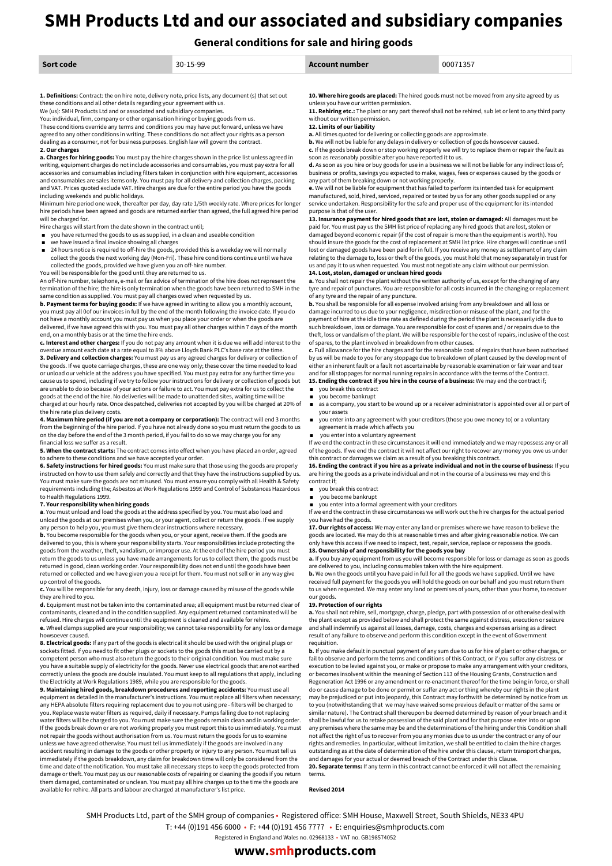# **SMH Products Ltd and our associated and subsidiary companies**

**General conditions for sale and hiring goods**

| Sort code                                                                                                                                                                                                                                                                                   | $30 - 15 - 99$                                                                                        | Account number                                                                                                                                                                                                | 00071357                                                                                                                                                                                                   |  |
|---------------------------------------------------------------------------------------------------------------------------------------------------------------------------------------------------------------------------------------------------------------------------------------------|-------------------------------------------------------------------------------------------------------|---------------------------------------------------------------------------------------------------------------------------------------------------------------------------------------------------------------|------------------------------------------------------------------------------------------------------------------------------------------------------------------------------------------------------------|--|
| these conditions and all other details regarding your agreement with us.<br>We (us): SMH Products Ltd and or associated and subsidiary companies.<br>You: individual, firm, company or other organisation hiring or buying goods from us.                                                   | 1. Definitions: Contract: the on hire note, delivery note, price lists, any document (s) that set out | unless you have our written permission.<br>without our written permission.                                                                                                                                    | 10. Where hire goods are placed: The hired goods must not be moved from any site agreed by us<br>11. Rehiring etc.: The plant or any part thereof shall not be rehired, sub let or lent to any third party |  |
| These conditions override any terms and conditions you may have put forward, unless we have<br>agreed to any other conditions in writing. These conditions do not affect your rights as a person<br>dealing as a consumer, not for business purposes. English law will govern the contract. |                                                                                                       | 12. Limits of our liability<br>a. All times quoted for delivering or collecting goods are approximate.<br><b>b.</b> We will not be liable for any delays in delivery or collection of goods howsoever caused. |                                                                                                                                                                                                            |  |

#### **2.** Our charge

**a. Charges for hiring goods:** You must pay the hire charges shown in the price list unless agreed in writing, equipment charges do not include accessories and consumables, you must pay extra for all accessories and consumables including filters taken in conjunction with hire equipment, accessories and consumables are sales items only. You must pay for all delivery and collection charges, packing and VAT. Prices quoted exclude VAT. Hire charges are due for the entire period you have the goods including weekends and public holidays.

Minimum hire period one week, thereafter per day, day rate 1/5th weekly rate. Where prices for longer hire periods have been agreed and goods are returned earlier than agreed, the full agreed hire period will be charged for.

- Hire charges will start from the date shown in the contract until; ■ you have returned the goods to us as supplied, in a clean and useable condition
- 
- we have issued a final invoice showing all charges
- 24 hours notice is required to off-hire the goods, provided this is a weekday we will normally collect the goods the next working day (Mon-Fri). These hire conditions continue until we have collected the goods, provided we have given you an off-hire number.

You will be responsible for the good until they are returned to us.

An off-hire number, telephone, e-mail or fax advice of termination of the hire does not represent the termination of the hire; the hire is only termination when the goods have been returned to SMH in the same condition as supplied. You must pay all charges owed when requested by us.

**b. Payment terms for buying goods:** If we have agreed in writing to allow you a monthly account, you must pay all 0of our invoices in full by the end of the month following the invoice date. If you do not have a monthly account you must pay us when you place your order or when the goods are delivered, if we have agreed this with you. You must pay all other charges within 7 days of the month end, on a monthly basis or at the time the hire ends.

**c. Interest and other charges:** If you do not pay any amount when it is due we will add interest to the<br>overdue amount each date at a rate equal to 8% above Lloyds Bank PLC's base rate at the time. **3. Delivery and collection charges:** You must pay us any agreed charges for delivery or collection of

the goods. If we quote carriage charges, these are one way only; these cover the time needed to load or unload our vehicle at the address you have specified. You must pay extra for any further time you cause us to spend, including if we try to follow your instructions for delivery or collection of goods but are unable to do so because of your actions or failure to act. You must pay extra for us to collect the goods at the end of the hire. No deliveries will be made to unattended sites, waiting time will be charged at our hourly rate. Once despatched, deliveries not accepted by you will be charged at 20% of the hire rate plus delivery costs.

**4. Maximum hire period (if you are not a company or corporation):** The contract will end 3 months from the beginning of the hire period. If you have not already done so you must return the goods to us on the day before the end of the 3 month period, if you fail to do so we may charge you for any financial loss we suffer as a result.

**5. When the contract starts:** The contract comes into effect when you have placed an order, agreed to adhere to these conditions and we have accepted your order.

**6. Safety instructions for hired goods:** You must make sure that those using the goods are properly instructed on how to use them safely and correctly and that they have the instructions supplied by us. You must make sure the goods are not misused. You must ensure you comply with all Health & Safety requirements including the; Asbestos at Work Regulations 1999 and Control of Substances Hazardous to Health Regulations 1999.

#### **7. Your responsibility when hiring goods**

**a**. You must unload and load the goods at the address specified by you. You must also load and unload the goods at our premises when you, or your agent, collect or return the goods. If we supply any person to help you, you must give them clear instructions where necessary.

**b.** You become responsible for the goods when you, or your agent, receive them. If the goods are delivered to you, this is where your responsibility starts. Your responsibilities include protecting the goods from the weather, theft, vandalism, or improper use. At the end of the hire period you must return the goods to us unless you have made arrangements for us to collect them, the goods must be returned in good, clean working order. Your responsibility does not end until the goods have been returned or collected and we have given you a receipt for them. You must not sell or in any way give up control of the goods.

**c.** You will be responsible for any death, injury, loss or damage caused by misuse of the goods while they are hired to you.

**d.** Equipment must not be taken into the contaminated area; all equipment must be returned clear of contaminants, cleaned and in the condition supplied. Any equipment returned contaminated will be refused. Hire charges will continue until the equipment is cleaned and available for rehire.

**e.** Wheel clamps supplied are your responsibility; we cannot take responsibility for any loss or damage howsoever caused.

**8. Electrical goods:** If any part of the goods is electrical it should be used with the original plugs or sockets fitted. If you need to fit other plugs or sockets to the goods this must be carried out by a competent person who must also return the goods to their original condition. You must make sure you have a suitable supply of electricity for the goods. Never use electrical goods that are not earthed correctly unless the goods are double insulated. You must keep to all regulations that apply, including the Electricity at Work Regulations 1989, while you are responsible for the goods.

**9. Maintaining hired goods, breakdown procedures and reporting accidents:** You must use all equipment as detailed in the manufacturer's instructions. You must replace all filters when necessary; any HEPA absolute filters requiring replacement due to you not using pre - filters will be charged to you. Replace waste water filters as required, daily if necessary. Pumps failing due to not replacing water filters will be charged to you. You must make sure the goods remain clean and in working order. If the goods break down or are not working properly you must report this to us immediately. You must not repair the goods without authorisation from us. You must return the goods for us to examine unless we have agreed otherwise. You must tell us immediately if the goods are involved in any accident resulting in damage to the goods or other property or injury to any person. You must tell us immediately if the goods breakdown, any claim for breakdown time will only be considered from the time and date of the notification. You must take all necessary steps to keep the goods protected from damage or theft. You must pay us our reasonable costs of repairing or cleaning the goods if you return them damaged, contaminated or unclean. You must pay all hire charges up to the time the goods are available for rehire. All parts and labour are charged at manufacturer's list price.

**b.** We will not be liable for any delays in delivery or collection of goods howsoever caused. **c.** If the goods break down or stop working properly we will try to replace them or repair the fault as

soon as reasonably possible after you have reported it to us.<br>**d.** As soon as you hire or buy goods for use in a business we will not be liable for any indirect loss of;

business or profits, savings you expected to make, wages, fees or expenses caused by the goods or any part of them breaking down or not working properly. **e.** We will not be liable for equipment that has failed to perform its intended task for equipment

manufactured, sold, hired, serviced, repaired or tested by us for any other goods supplied or any service undertaken. Responsibility for the safe and proper use of the equipment for its intended purpose is that of the user.

**13. Insurance payment for hired goods that are lost, stolen or damaged:** All damages must be paid for. You must pay us the SMH list price of replacing any hired goods that are lost, stolen or damaged beyond economic repair (if the cost of repair is more than the equipment is worth). You should insure the goods for the cost of replacement at SMH list price. Hire charges will continue until lost or damaged goods have been paid for in full. If you receive any money as settlement of any claim relating to the damage to, loss or theft of the goods, you must hold that money separately in trust for us and pay it to us when requested. You must not negotiate any claim without our permission.

#### **14. Lost, stolen, damaged or unclean hired goods**

**a.** You shall not repair the plant without the written authority of us, except for the changing of any tyre and repair of punctures. You are responsible for all costs incurred in the changing or replacement of any tyre and the repair of any puncture.

**b.** You shall be responsible for all expense involved arising from any breakdown and all loss or damage incurred to us due to your negligence, misdirection or misuse of the plant, and for the payment of hire at the idle time rate as defined during the period the plant is necessarily idle due to such breakdown, loss or damage. You are responsible for cost of spares and / or repairs due to the theft, loss or vandalism of the plant. We will be responsible for the cost of repairs, inclusive of the cost of spares, to the plant involved in breakdown from other causes.

**c.** Full allowance for the hire charges and for the reasonable cost of repairs that have been authorised by us will be made to you for any stoppage due to breakdown of plant caused by the development of either an inherent fault or a fault not ascertainable by reasonable examination or fair wear and tear and for all stoppages for normal running repairs in accordance with the terms of the Contract. **15. Ending the contract if you hire in the course of a business:** We may end the contract if;

- you break this contract
- you become bankrupt
- as a company, you start to be wound up or a receiver administrator is appointed over all or part of your assets
- you enter into any agreement with your creditors (those you owe money to) or a voluntary agreement is made which affects you
- you enter into a voluntary agreement

If we end the contract in these circumstances it will end immediately and we may repossess any or all of the goods. If we end the contract it will not affect our right to recover any money you owe us under this contract or damages we claim as a result of you breaking this contract.

16. Ending the contract if you hire as a private individual and not in the course of business: If you are hiring the goods as a private individual and not in the course of a business we may end this contract if;

- you break this contract
- you become bankrupt

you enter into a formal agreement with your creditors

If we end the contract in these circumstances we will work out the hire charges for the actual period you have had the goods.

**17. Our rights of access:** We may enter any land or premises where we have reason to believe the goods are located. We may do this at reasonable times and after giving reasonable notice. We can only have this access if we need to inspect, test, repair, service, replace or repossess the goods.

#### **18. Ownership of and responsibility for the goods you buy**

**a.** If you buy any equipment from us you will become responsible for loss or damage as soon as goods are delivered to you, including consumables taken with the hire equipment.

**b.** We own the goods until you have paid in full for all the goods we have supplied. Until we have received full payment for the goods you will hold the goods on our behalf and you must return them to us when requested. We may enter any land or premises of yours, other than your home, to recover our goods.

#### **19. Protection of our rights**

**a.** You shall not rehire, sell, mortgage, charge, pledge, part with possession of or otherwise deal with the plant except as provided below and shall protect the same against distress, execution or seizure and shall indemnify us against all losses, damage, costs, charges and expenses arising as a direct result of any failure to observe and perform this condition except in the event of Government requisition.

**b.** If you make default in punctual payment of any sum due to us for hire of plant or other charges, or fail to observe and perform the terms and conditions of this Contract, or if you suffer any distress or execution to be levied against you, or make or propose to make any arrangement with your creditors, or becomes insolvent within the meaning of Section 113 of the Housing Grants, Construction and Regeneration Act 1996 or any amendment or re-enactment thereof for the time being in force, or shall do or cause damage to be done or permit or suffer any act or thing whereby our rights in the plant may be prejudiced or put into jeopardy, this Contract may forthwith be determined by notice from us to you (notwithstanding that we may have waived some previous default or matter of the same or similar nature). The Contract shall thereupon be deemed determined by reason of your breach and it shall be lawful for us to retake possession of the said plant and for that purpose enter into or upon any premises where the same may be and the determinations of the hiring under this Condition shall not affect the right of us to recover from you any monies due to us under the contract or any of our rights and remedies. In particular, without limitation, we shall be entitled to claim the hire charges outstanding as at the date of determination of the hire under this clause, return transport charges, and damages for your actual or deemed breach of the Contract under this Clause. **20. Separate terms:** If any term in this contract cannot be enforced it will not affect the remaining terms.

**Revised 2014**

SMH Products Ltd, part of the SMH group of companies • Registered office: SMH House, Maxwell Street, South Shields, NE33 4PU

T: +44 (0)191 456 6000 • F: +44 (0)191 456 7777 • E: enquiries@smhproducts.com

Registered in England and Wales no. 02968133 • VAT no. GB198574052

**www.smhproducts.com**